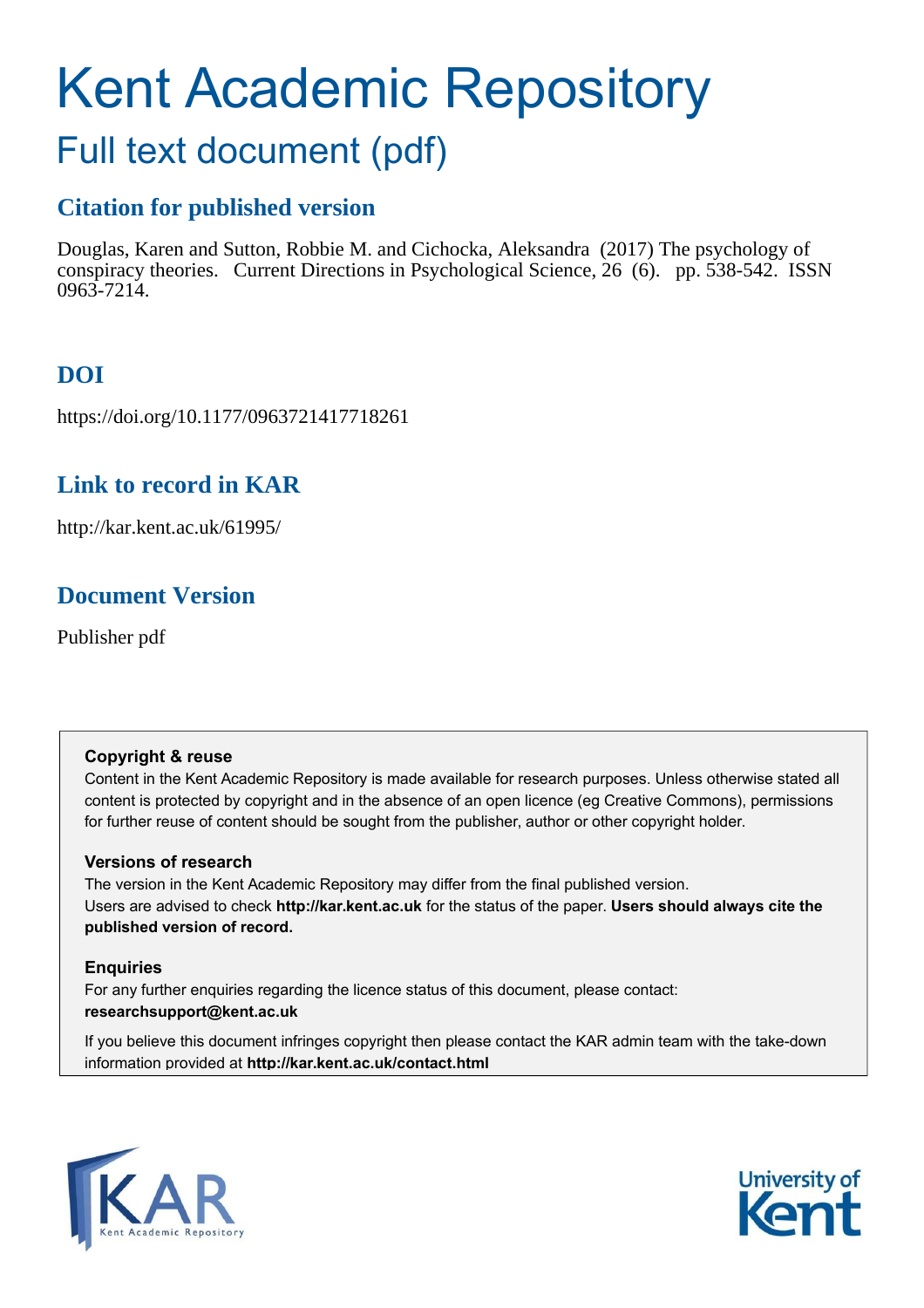# Kent Academic Repository

## Full text document (pdf)

## **Citation for published version**

Douglas, Karen and Sutton, Robbie M. and Cichocka, Aleksandra (2017) The psychology of conspiracy theories. Current Directions in Psychological Science, 26 (6). pp. 538-542. ISSN 0963-7214.

## **DOI**

https://doi.org/10.1177/0963721417718261

## **Link to record in KAR**

http://kar.kent.ac.uk/61995/

## **Document Version**

Publisher pdf

#### **Copyright & reuse**

Content in the Kent Academic Repository is made available for research purposes. Unless otherwise stated all content is protected by copyright and in the absence of an open licence (eg Creative Commons), permissions for further reuse of content should be sought from the publisher, author or other copyright holder.

#### **Versions of research**

The version in the Kent Academic Repository may differ from the final published version. Users are advised to check **http://kar.kent.ac.uk** for the status of the paper. **Users should always cite the published version of record.**

#### **Enquiries**

For any further enquiries regarding the licence status of this document, please contact: **researchsupport@kent.ac.uk**

If you believe this document infringes copyright then please contact the KAR admin team with the take-down information provided at **http://kar.kent.ac.uk/contact.html**



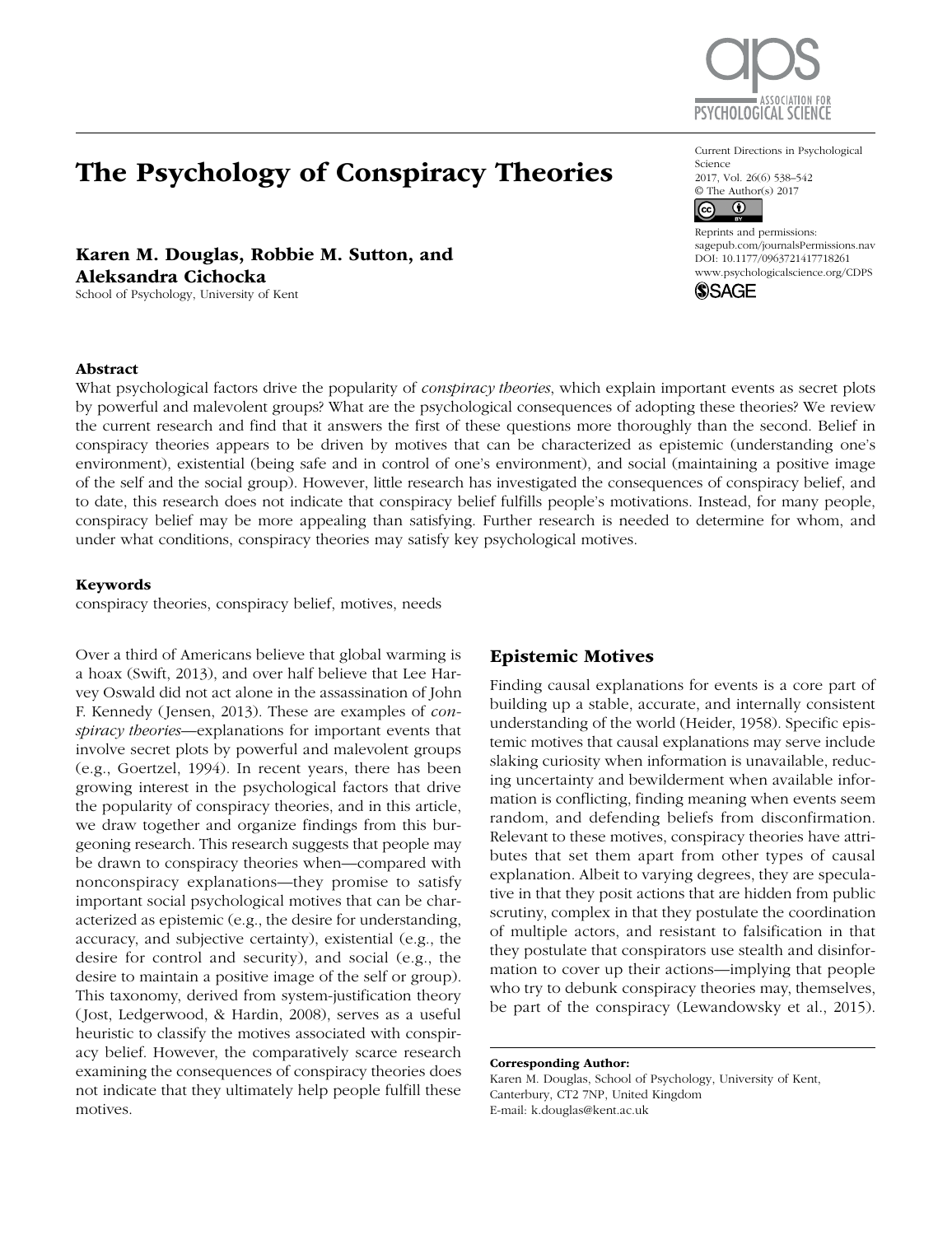

https://doi.org/10.1177/0963721417718261 DOI: 10.1177/0963721417718261

Current Directions in Psychological

2017, Vol. 26(6) 538-542 © The Author(s) 2017

 $\overline{0}$ 

**SSAGE** 

Reprints and permissions: [sagepub.com/journalsPermissions.nav](http://sagepub.com/journalsPermissions.nav) [www.psychologicalscience.org/CDPS](http://www.psychologicalscience.org/cdps)

Science

 $(c<sub>c</sub>)$ 

## The Psychology of Conspiracy Theories

Karen M. Douglas, Robbie M. Sutton, and Aleksandra Cichocka School of Psychology, University of Kent

#### Abstract

What psychological factors drive the popularity of *conspiracy theories*, which explain important events as secret plots by powerful and malevolent groups? What are the psychological consequences of adopting these theories? We review the current research and find that it answers the first of these questions more thoroughly than the second. Belief in conspiracy theories appears to be driven by motives that can be characterized as epistemic (understanding one's environment), existential (being safe and in control of one's environment), and social (maintaining a positive image of the self and the social group). However, little research has investigated the consequences of conspiracy belief, and to date, this research does not indicate that conspiracy belief fulfills people's motivations. Instead, for many people, conspiracy belief may be more appealing than satisfying. Further research is needed to determine for whom, and under what conditions, conspiracy theories may satisfy key psychological motives.

#### Keywords

conspiracy theories, conspiracy belief, motives, needs

Over a third of Americans believe that global warming is a hoax (Swift, 2013), and over half believe that Lee Harvey Oswald did not act alone in the assassination of John F. Kennedy (Jensen, 2013). These are examples of *conspiracy theories*—explanations for important events that involve secret plots by powerful and malevolent groups (e.g., Goertzel, 1994). In recent years, there has been growing interest in the psychological factors that drive the popularity of conspiracy theories, and in this article, we draw together and organize findings from this burgeoning research. This research suggests that people may be drawn to conspiracy theories when—compared with nonconspiracy explanations—they promise to satisfy important social psychological motives that can be characterized as epistemic (e.g., the desire for understanding, accuracy, and subjective certainty), existential (e.g., the desire for control and security), and social (e.g., the desire to maintain a positive image of the self or group). This taxonomy, derived from system-justification theory (Jost, Ledgerwood, & Hardin, 2008), serves as a useful heuristic to classify the motives associated with conspiracy belief. However, the comparatively scarce research examining the consequences of conspiracy theories does not indicate that they ultimately help people fulfill these motives.

#### Epistemic Motives

Finding causal explanations for events is a core part of building up a stable, accurate, and internally consistent understanding of the world (Heider, 1958). Specific epistemic motives that causal explanations may serve include slaking curiosity when information is unavailable, reducing uncertainty and bewilderment when available information is conflicting, finding meaning when events seem random, and defending beliefs from disconfirmation. Relevant to these motives, conspiracy theories have attributes that set them apart from other types of causal explanation. Albeit to varying degrees, they are speculative in that they posit actions that are hidden from public scrutiny, complex in that they postulate the coordination of multiple actors, and resistant to falsification in that they postulate that conspirators use stealth and disinformation to cover up their actions—implying that people who try to debunk conspiracy theories may, themselves, be part of the conspiracy (Lewandowsky et al., 2015).

#### Corresponding Author:

Karen M. Douglas, School of Psychology, University of Kent, Canterbury, CT2 7NP, United Kingdom E-mail: [k.douglas@kent.ac.uk](mailto:k.douglas@kent.ac.uk)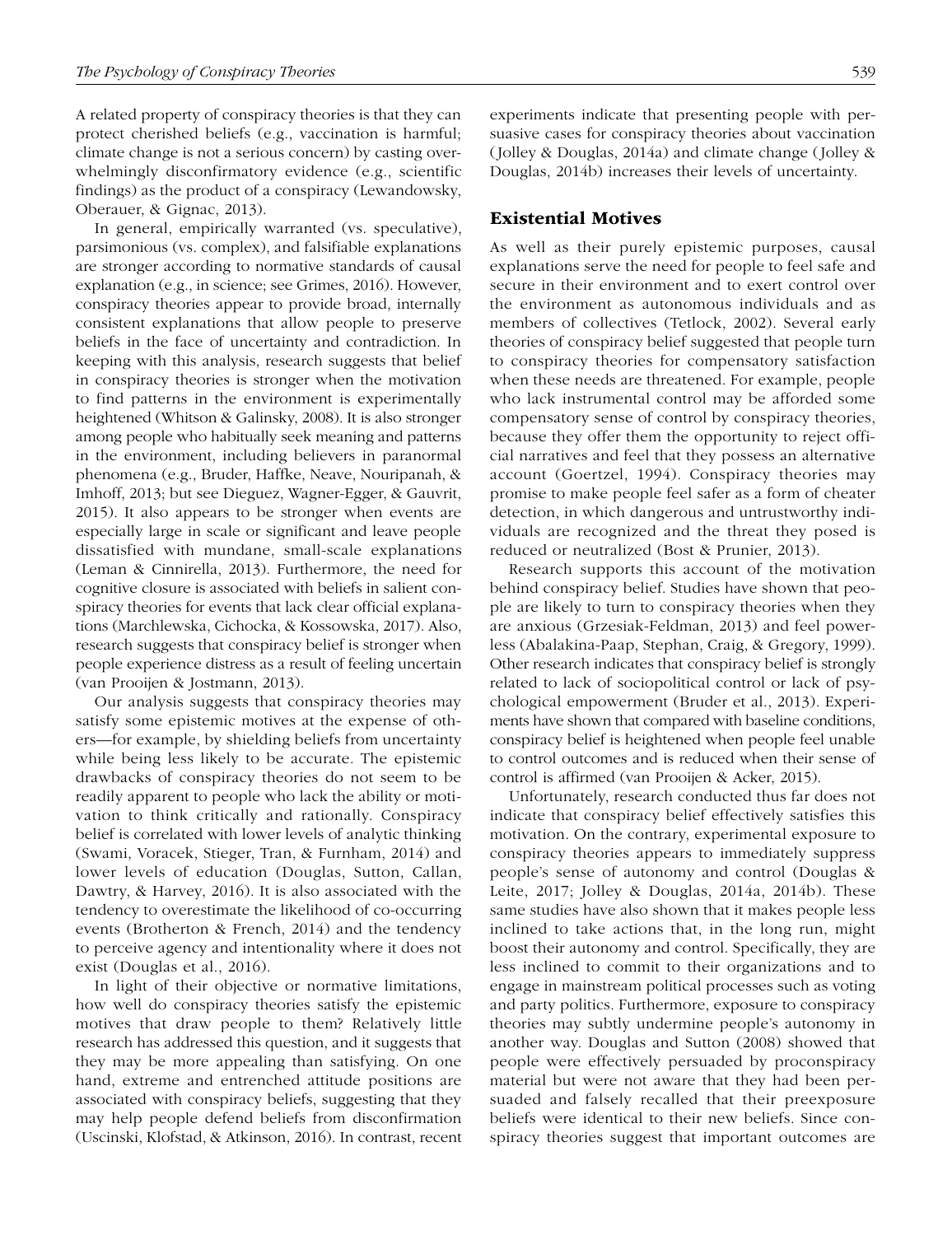A related property of conspiracy theories is that they can protect cherished beliefs (e.g., vaccination is harmful; climate change is not a serious concern) by casting overwhelmingly disconfirmatory evidence (e.g., scientific findings) as the product of a conspiracy (Lewandowsky, Oberauer, & Gignac, 2013).

In general, empirically warranted (vs. speculative), parsimonious (vs. complex), and falsifiable explanations are stronger according to normative standards of causal explanation (e.g., in science; see Grimes, 2016). However, conspiracy theories appear to provide broad, internally consistent explanations that allow people to preserve beliefs in the face of uncertainty and contradiction. In keeping with this analysis, research suggests that belief in conspiracy theories is stronger when the motivation to find patterns in the environment is experimentally heightened (Whitson & Galinsky, 2008). It is also stronger among people who habitually seek meaning and patterns in the environment, including believers in paranormal phenomena (e.g., Bruder, Haffke, Neave, Nouripanah, & Imhoff, 2013; but see Dieguez, Wagner-Egger, & Gauvrit, 2015). It also appears to be stronger when events are especially large in scale or significant and leave people dissatisfied with mundane, small-scale explanations (Leman & Cinnirella, 2013). Furthermore, the need for cognitive closure is associated with beliefs in salient conspiracy theories for events that lack clear official explanations (Marchlewska, Cichocka, & Kossowska, 2017). Also, research suggests that conspiracy belief is stronger when people experience distress as a result of feeling uncertain (van Prooijen & Jostmann, 2013).

Our analysis suggests that conspiracy theories may satisfy some epistemic motives at the expense of others—for example, by shielding beliefs from uncertainty while being less likely to be accurate. The epistemic drawbacks of conspiracy theories do not seem to be readily apparent to people who lack the ability or motivation to think critically and rationally. Conspiracy belief is correlated with lower levels of analytic thinking (Swami, Voracek, Stieger, Tran, & Furnham, 2014) and lower levels of education (Douglas, Sutton, Callan, Dawtry, & Harvey, 2016). It is also associated with the tendency to overestimate the likelihood of co-occurring events (Brotherton & French, 2014) and the tendency to perceive agency and intentionality where it does not exist (Douglas et al., 2016).

In light of their objective or normative limitations, how well do conspiracy theories satisfy the epistemic motives that draw people to them? Relatively little research has addressed this question, and it suggests that they may be more appealing than satisfying. On one hand, extreme and entrenched attitude positions are associated with conspiracy beliefs, suggesting that they may help people defend beliefs from disconfirmation (Uscinski, Klofstad, & Atkinson, 2016). In contrast, recent experiments indicate that presenting people with persuasive cases for conspiracy theories about vaccination (Jolley & Douglas, 2014a) and climate change (Jolley & Douglas, 2014b) increases their levels of uncertainty.

#### Existential Motives

As well as their purely epistemic purposes, causal explanations serve the need for people to feel safe and secure in their environment and to exert control over the environment as autonomous individuals and as members of collectives (Tetlock, 2002). Several early theories of conspiracy belief suggested that people turn to conspiracy theories for compensatory satisfaction when these needs are threatened. For example, people who lack instrumental control may be afforded some compensatory sense of control by conspiracy theories, because they offer them the opportunity to reject official narratives and feel that they possess an alternative account (Goertzel, 1994). Conspiracy theories may promise to make people feel safer as a form of cheater detection, in which dangerous and untrustworthy individuals are recognized and the threat they posed is reduced or neutralized (Bost & Prunier, 2013).

Research supports this account of the motivation behind conspiracy belief. Studies have shown that people are likely to turn to conspiracy theories when they are anxious (Grzesiak-Feldman, 2013) and feel powerless (Abalakina-Paap, Stephan, Craig, & Gregory, 1999). Other research indicates that conspiracy belief is strongly related to lack of sociopolitical control or lack of psychological empowerment (Bruder et al., 2013). Experiments have shown that compared with baseline conditions, conspiracy belief is heightened when people feel unable to control outcomes and is reduced when their sense of control is affirmed (van Prooijen & Acker, 2015).

Unfortunately, research conducted thus far does not indicate that conspiracy belief effectively satisfies this motivation. On the contrary, experimental exposure to conspiracy theories appears to immediately suppress people's sense of autonomy and control (Douglas & Leite, 2017; Jolley & Douglas, 2014a, 2014b). These same studies have also shown that it makes people less inclined to take actions that, in the long run, might boost their autonomy and control. Specifically, they are less inclined to commit to their organizations and to engage in mainstream political processes such as voting and party politics. Furthermore, exposure to conspiracy theories may subtly undermine people's autonomy in another way. Douglas and Sutton (2008) showed that people were effectively persuaded by proconspiracy material but were not aware that they had been persuaded and falsely recalled that their preexposure beliefs were identical to their new beliefs. Since conspiracy theories suggest that important outcomes are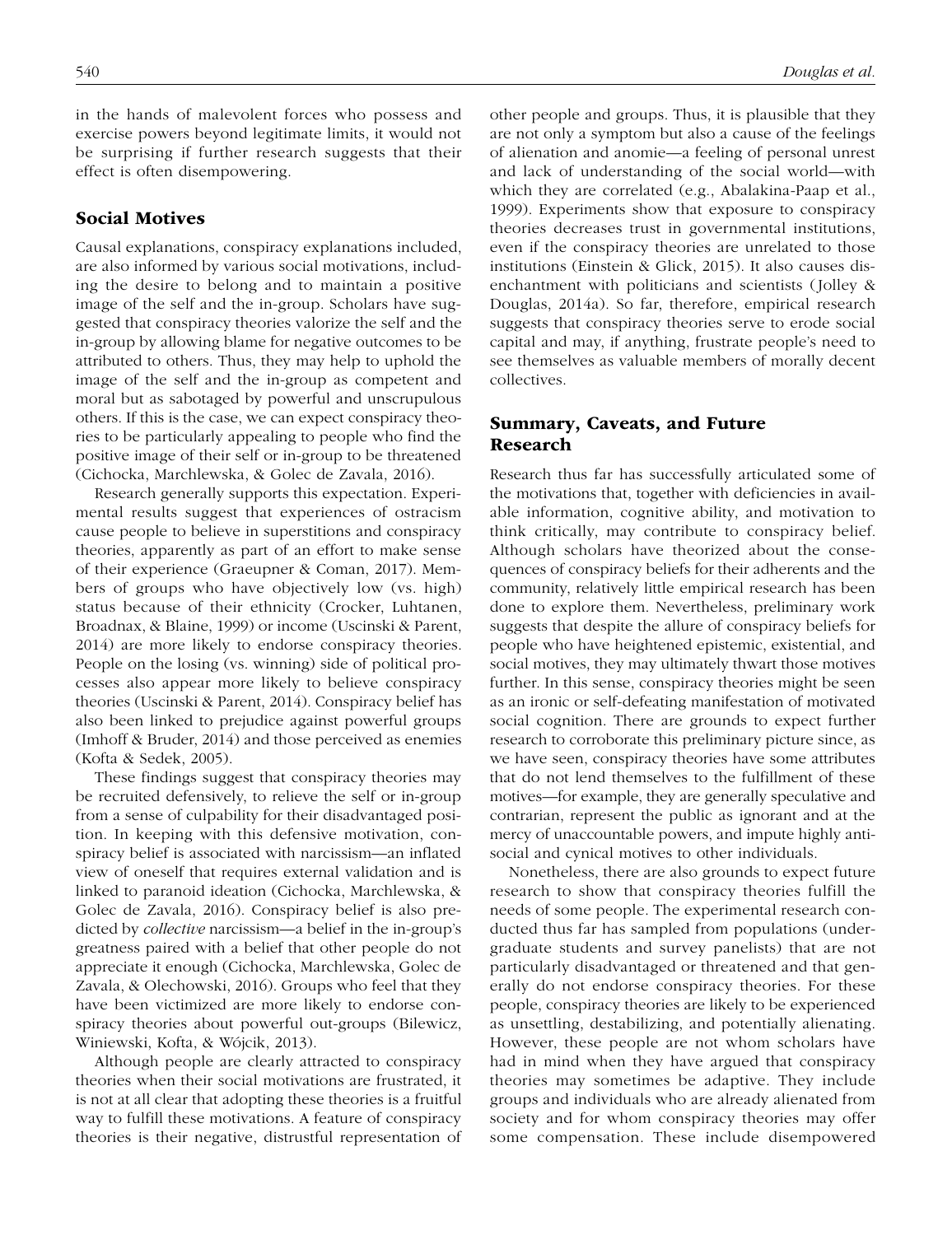in the hands of malevolent forces who possess and exercise powers beyond legitimate limits, it would not be surprising if further research suggests that their effect is often disempowering.

#### Social Motives

Causal explanations, conspiracy explanations included, are also informed by various social motivations, including the desire to belong and to maintain a positive image of the self and the in-group. Scholars have suggested that conspiracy theories valorize the self and the in-group by allowing blame for negative outcomes to be attributed to others. Thus, they may help to uphold the image of the self and the in-group as competent and moral but as sabotaged by powerful and unscrupulous others. If this is the case, we can expect conspiracy theories to be particularly appealing to people who find the positive image of their self or in-group to be threatened (Cichocka, Marchlewska, & Golec de Zavala, 2016).

Research generally supports this expectation. Experimental results suggest that experiences of ostracism cause people to believe in superstitions and conspiracy theories, apparently as part of an effort to make sense of their experience (Graeupner & Coman, 2017). Members of groups who have objectively low (vs. high) status because of their ethnicity (Crocker, Luhtanen, Broadnax, & Blaine, 1999) or income (Uscinski & Parent, 2014) are more likely to endorse conspiracy theories. People on the losing (vs. winning) side of political processes also appear more likely to believe conspiracy theories (Uscinski & Parent, 2014). Conspiracy belief has also been linked to prejudice against powerful groups (Imhoff & Bruder, 2014) and those perceived as enemies (Kofta & Sedek, 2005).

These findings suggest that conspiracy theories may be recruited defensively, to relieve the self or in-group from a sense of culpability for their disadvantaged position. In keeping with this defensive motivation, conspiracy belief is associated with narcissism—an inflated view of oneself that requires external validation and is linked to paranoid ideation (Cichocka, Marchlewska, & Golec de Zavala, 2016). Conspiracy belief is also predicted by *collective* narcissism—a belief in the in-group's greatness paired with a belief that other people do not appreciate it enough (Cichocka, Marchlewska, Golec de Zavala, & Olechowski, 2016). Groups who feel that they have been victimized are more likely to endorse conspiracy theories about powerful out-groups (Bilewicz, Winiewski, Kofta, & Wójcik, 2013).

Although people are clearly attracted to conspiracy theories when their social motivations are frustrated, it is not at all clear that adopting these theories is a fruitful way to fulfill these motivations. A feature of conspiracy theories is their negative, distrustful representation of other people and groups. Thus, it is plausible that they are not only a symptom but also a cause of the feelings of alienation and anomie—a feeling of personal unrest and lack of understanding of the social world—with which they are correlated (e.g., Abalakina-Paap et al., 1999). Experiments show that exposure to conspiracy theories decreases trust in governmental institutions, even if the conspiracy theories are unrelated to those institutions (Einstein & Glick, 2015). It also causes disenchantment with politicians and scientists (Jolley & Douglas, 2014a). So far, therefore, empirical research suggests that conspiracy theories serve to erode social capital and may, if anything, frustrate people's need to see themselves as valuable members of morally decent collectives.

#### Summary, Caveats, and Future Research

Research thus far has successfully articulated some of the motivations that, together with deficiencies in available information, cognitive ability, and motivation to think critically, may contribute to conspiracy belief. Although scholars have theorized about the consequences of conspiracy beliefs for their adherents and the community, relatively little empirical research has been done to explore them. Nevertheless, preliminary work suggests that despite the allure of conspiracy beliefs for people who have heightened epistemic, existential, and social motives, they may ultimately thwart those motives further. In this sense, conspiracy theories might be seen as an ironic or self-defeating manifestation of motivated social cognition. There are grounds to expect further research to corroborate this preliminary picture since, as we have seen, conspiracy theories have some attributes that do not lend themselves to the fulfillment of these motives—for example, they are generally speculative and contrarian, represent the public as ignorant and at the mercy of unaccountable powers, and impute highly antisocial and cynical motives to other individuals.

Nonetheless, there are also grounds to expect future research to show that conspiracy theories fulfill the needs of some people. The experimental research conducted thus far has sampled from populations (undergraduate students and survey panelists) that are not particularly disadvantaged or threatened and that generally do not endorse conspiracy theories. For these people, conspiracy theories are likely to be experienced as unsettling, destabilizing, and potentially alienating. However, these people are not whom scholars have had in mind when they have argued that conspiracy theories may sometimes be adaptive. They include groups and individuals who are already alienated from society and for whom conspiracy theories may offer some compensation. These include disempowered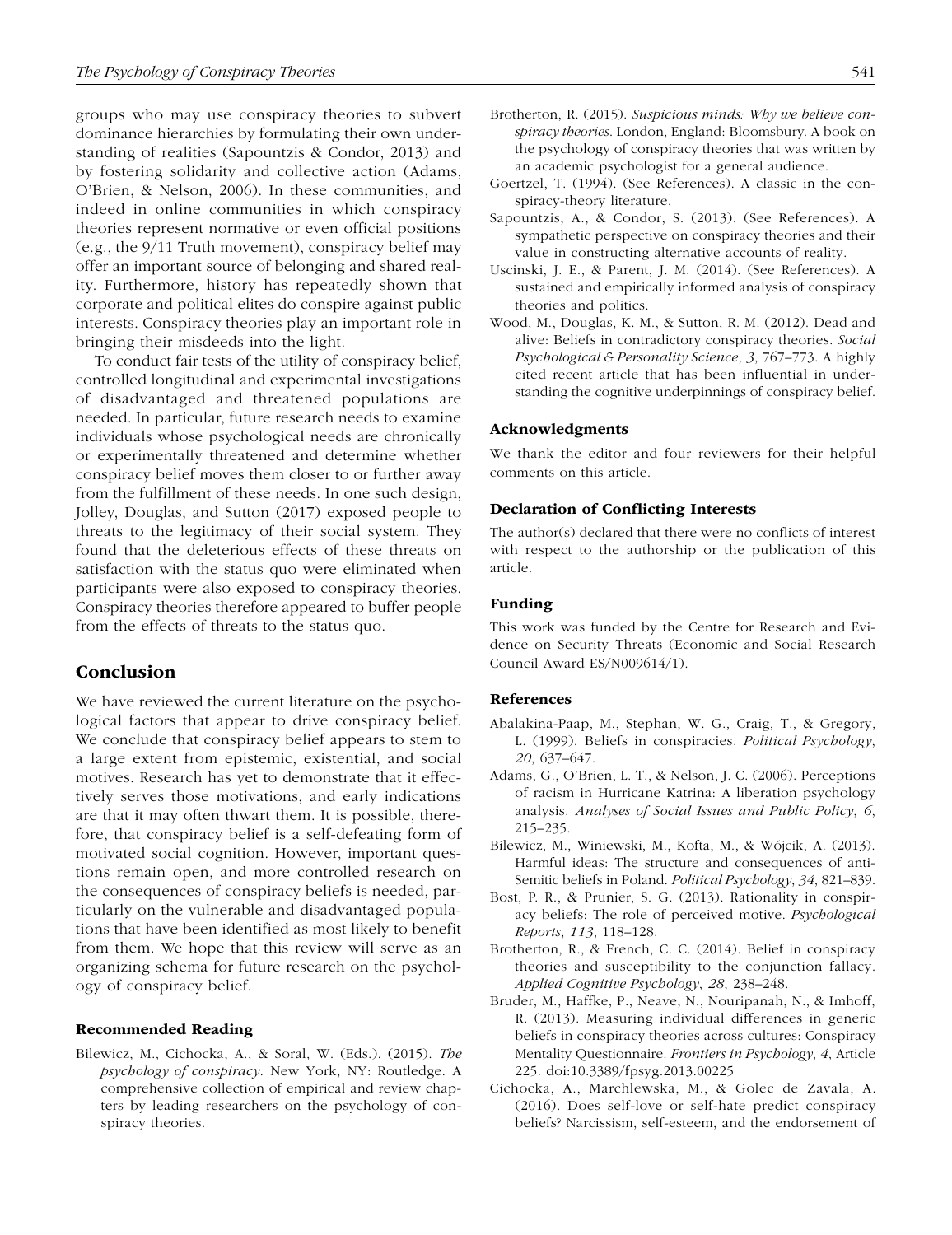groups who may use conspiracy theories to subvert dominance hierarchies by formulating their own understanding of realities (Sapountzis & Condor, 2013) and by fostering solidarity and collective action (Adams, O'Brien, & Nelson, 2006). In these communities, and indeed in online communities in which conspiracy theories represent normative or even official positions (e.g., the 9/11 Truth movement), conspiracy belief may offer an important source of belonging and shared reality. Furthermore, history has repeatedly shown that corporate and political elites do conspire against public interests. Conspiracy theories play an important role in bringing their misdeeds into the light.

To conduct fair tests of the utility of conspiracy belief, controlled longitudinal and experimental investigations of disadvantaged and threatened populations are needed. In particular, future research needs to examine individuals whose psychological needs are chronically or experimentally threatened and determine whether conspiracy belief moves them closer to or further away from the fulfillment of these needs. In one such design, Jolley, Douglas, and Sutton (2017) exposed people to threats to the legitimacy of their social system. They found that the deleterious effects of these threats on satisfaction with the status quo were eliminated when participants were also exposed to conspiracy theories. Conspiracy theories therefore appeared to buffer people from the effects of threats to the status quo.

#### Conclusion

We have reviewed the current literature on the psychological factors that appear to drive conspiracy belief. We conclude that conspiracy belief appears to stem to a large extent from epistemic, existential, and social motives. Research has yet to demonstrate that it effectively serves those motivations, and early indications are that it may often thwart them. It is possible, therefore, that conspiracy belief is a self-defeating form of motivated social cognition. However, important questions remain open, and more controlled research on the consequences of conspiracy beliefs is needed, particularly on the vulnerable and disadvantaged populations that have been identified as most likely to benefit from them. We hope that this review will serve as an organizing schema for future research on the psychology of conspiracy belief.

#### Recommended Reading

Bilewicz, M., Cichocka, A., & Soral, W. (Eds.). (2015). *The psychology of conspiracy*. New York, NY: Routledge. A comprehensive collection of empirical and review chapters by leading researchers on the psychology of conspiracy theories.

- Brotherton, R. (2015). *Suspicious minds: Why we believe conspiracy theories*. London, England: Bloomsbury. A book on the psychology of conspiracy theories that was written by an academic psychologist for a general audience.
- Goertzel, T. (1994). (See References). A classic in the conspiracy-theory literature.
- Sapountzis, A., & Condor, S. (2013). (See References). A sympathetic perspective on conspiracy theories and their value in constructing alternative accounts of reality.
- Uscinski, J. E., & Parent, J. M. (2014). (See References). A sustained and empirically informed analysis of conspiracy theories and politics.
- Wood, M., Douglas, K. M., & Sutton, R. M. (2012). Dead and alive: Beliefs in contradictory conspiracy theories. *Social Psychological & Personality Science*, *3*, 767–773. A highly cited recent article that has been influential in understanding the cognitive underpinnings of conspiracy belief.

#### Acknowledgments

We thank the editor and four reviewers for their helpful comments on this article.

#### Declaration of Conflicting Interests

The author(s) declared that there were no conflicts of interest with respect to the authorship or the publication of this article.

#### Funding

This work was funded by the Centre for Research and Evidence on Security Threats (Economic and Social Research Council Award ES/N009614/1).

#### References

- Abalakina-Paap, M., Stephan, W. G., Craig, T., & Gregory, L. (1999). Beliefs in conspiracies. *Political Psychology*, *20*, 637–647.
- Adams, G., O'Brien, L. T., & Nelson, J. C. (2006). Perceptions of racism in Hurricane Katrina: A liberation psychology analysis. *Analyses of Social Issues and Public Policy*, *6*, 215–235.
- Bilewicz, M., Winiewski, M., Kofta, M., & Wójcik, A. (2013). Harmful ideas: The structure and consequences of anti-Semitic beliefs in Poland. *Political Psychology*, *34*, 821–839.
- Bost, P. R., & Prunier, S. G. (2013). Rationality in conspiracy beliefs: The role of perceived motive. *Psychological Reports*, *113*, 118–128.
- Brotherton, R., & French, C. C. (2014). Belief in conspiracy theories and susceptibility to the conjunction fallacy. *Applied Cognitive Psychology*, *28*, 238–248.
- Bruder, M., Haffke, P., Neave, N., Nouripanah, N., & Imhoff, R. (2013). Measuring individual differences in generic beliefs in conspiracy theories across cultures: Conspiracy Mentality Questionnaire. *Frontiers in Psychology*, *4*, Article 225. doi:10.3389/fpsyg.2013.00225
- Cichocka, A., Marchlewska, M., & Golec de Zavala, A. (2016). Does self-love or self-hate predict conspiracy beliefs? Narcissism, self-esteem, and the endorsement of